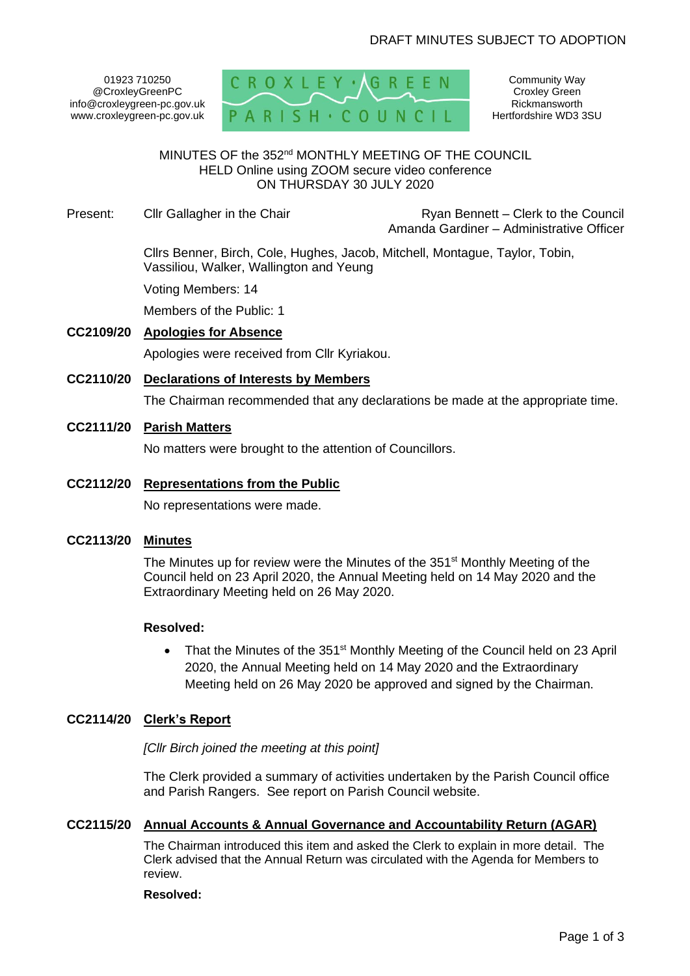# DRAFT MINUTES SUBJECT TO ADOPTION

01923 710250 @CroxleyGreenPC info@croxleygreen-pc.gov.uk www.croxleygreen-pc.gov.uk



Community Way Croxley Green Rickmansworth Hertfordshire WD3 3SU

# MINUTES OF the 352<sup>nd</sup> MONTHLY MEETING OF THE COUNCIL HELD Online using ZOOM secure video conference ON THURSDAY 30 JULY 2020

Present: Cllr Gallagher in the Chair **Ryan Bennett** – Clerk to the Council Amanda Gardiner – Administrative Officer

> Cllrs Benner, Birch, Cole, Hughes, Jacob, Mitchell, Montague, Taylor, Tobin, Vassiliou, Walker, Wallington and Yeung

Voting Members: 14

Members of the Public: 1

# **CC2109/20 Apologies for Absence**

Apologies were received from Cllr Kyriakou.

**CC2110/20 Declarations of Interests by Members**

The Chairman recommended that any declarations be made at the appropriate time.

## **CC2111/20 Parish Matters**

No matters were brought to the attention of Councillors.

#### **CC2112/20 Representations from the Public**

No representations were made.

## **CC2113/20 Minutes**

The Minutes up for review were the Minutes of the 351<sup>st</sup> Monthly Meeting of the Council held on 23 April 2020, the Annual Meeting held on 14 May 2020 and the Extraordinary Meeting held on 26 May 2020.

#### **Resolved:**

• That the Minutes of the 351<sup>st</sup> Monthly Meeting of the Council held on 23 April 2020, the Annual Meeting held on 14 May 2020 and the Extraordinary Meeting held on 26 May 2020 be approved and signed by the Chairman.

## **CC2114/20 Clerk's Report**

*[Cllr Birch joined the meeting at this point]*

The Clerk provided a summary of activities undertaken by the Parish Council office and Parish Rangers. See report on Parish Council website.

## **CC2115/20 Annual Accounts & Annual Governance and Accountability Return (AGAR)**

The Chairman introduced this item and asked the Clerk to explain in more detail. The Clerk advised that the Annual Return was circulated with the Agenda for Members to review.

#### **Resolved:**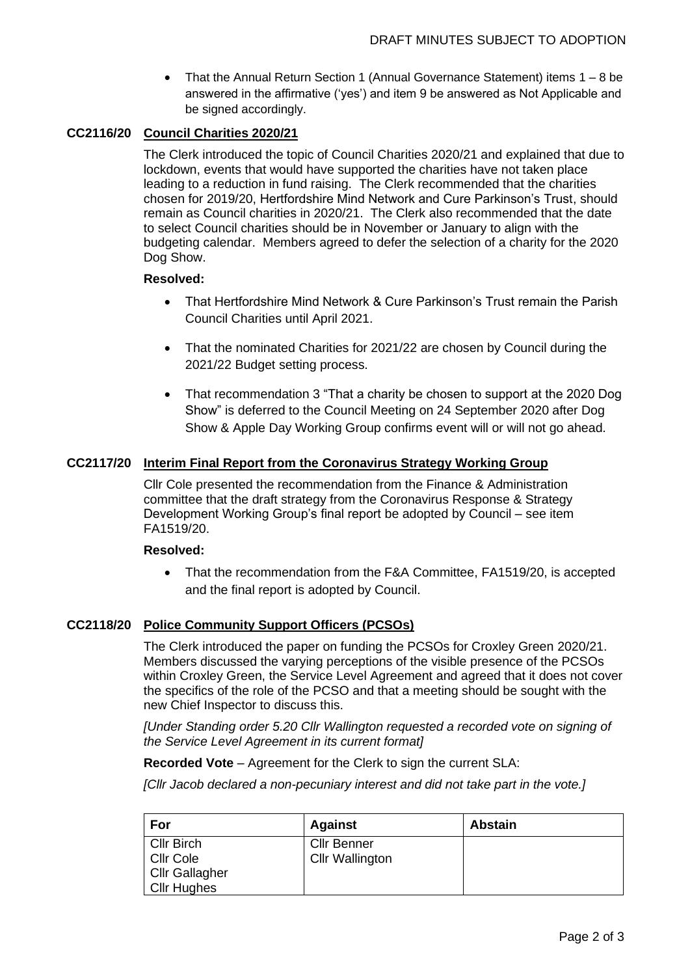• That the Annual Return Section 1 (Annual Governance Statement) items 1 – 8 be answered in the affirmative ('yes') and item 9 be answered as Not Applicable and be signed accordingly.

# **CC2116/20 Council Charities 2020/21**

The Clerk introduced the topic of Council Charities 2020/21 and explained that due to lockdown, events that would have supported the charities have not taken place leading to a reduction in fund raising. The Clerk recommended that the charities chosen for 2019/20, Hertfordshire Mind Network and Cure Parkinson's Trust, should remain as Council charities in 2020/21. The Clerk also recommended that the date to select Council charities should be in November or January to align with the budgeting calendar. Members agreed to defer the selection of a charity for the 2020 Dog Show.

## **Resolved:**

- That Hertfordshire Mind Network & Cure Parkinson's Trust remain the Parish Council Charities until April 2021.
- That the nominated Charities for 2021/22 are chosen by Council during the 2021/22 Budget setting process.
- That recommendation 3 "That a charity be chosen to support at the 2020 Dog Show" is deferred to the Council Meeting on 24 September 2020 after Dog Show & Apple Day Working Group confirms event will or will not go ahead.

# **CC2117/20 Interim Final Report from the Coronavirus Strategy Working Group**

Cllr Cole presented the recommendation from the Finance & Administration committee that the draft strategy from the Coronavirus Response & Strategy Development Working Group's final report be adopted by Council – see item FA1519/20.

## **Resolved:**

• That the recommendation from the F&A Committee, FA1519/20, is accepted and the final report is adopted by Council.

# **CC2118/20 Police Community Support Officers (PCSOs)**

The Clerk introduced the paper on funding the PCSOs for Croxley Green 2020/21. Members discussed the varying perceptions of the visible presence of the PCSOs within Croxley Green, the Service Level Agreement and agreed that it does not cover the specifics of the role of the PCSO and that a meeting should be sought with the new Chief Inspector to discuss this.

*[Under Standing order 5.20 Cllr Wallington requested a recorded vote on signing of the Service Level Agreement in its current format]*

**Recorded Vote** – Agreement for the Clerk to sign the current SLA:

*[Cllr Jacob declared a non-pecuniary interest and did not take part in the vote.]*

| For               | <b>Against</b>         | <b>Abstain</b> |
|-------------------|------------------------|----------------|
| <b>Cllr Birch</b> | <b>Cllr Benner</b>     |                |
| Cllr Cole         | <b>Cllr Wallington</b> |                |
| Cllr Gallagher    |                        |                |
| Cllr Hughes       |                        |                |